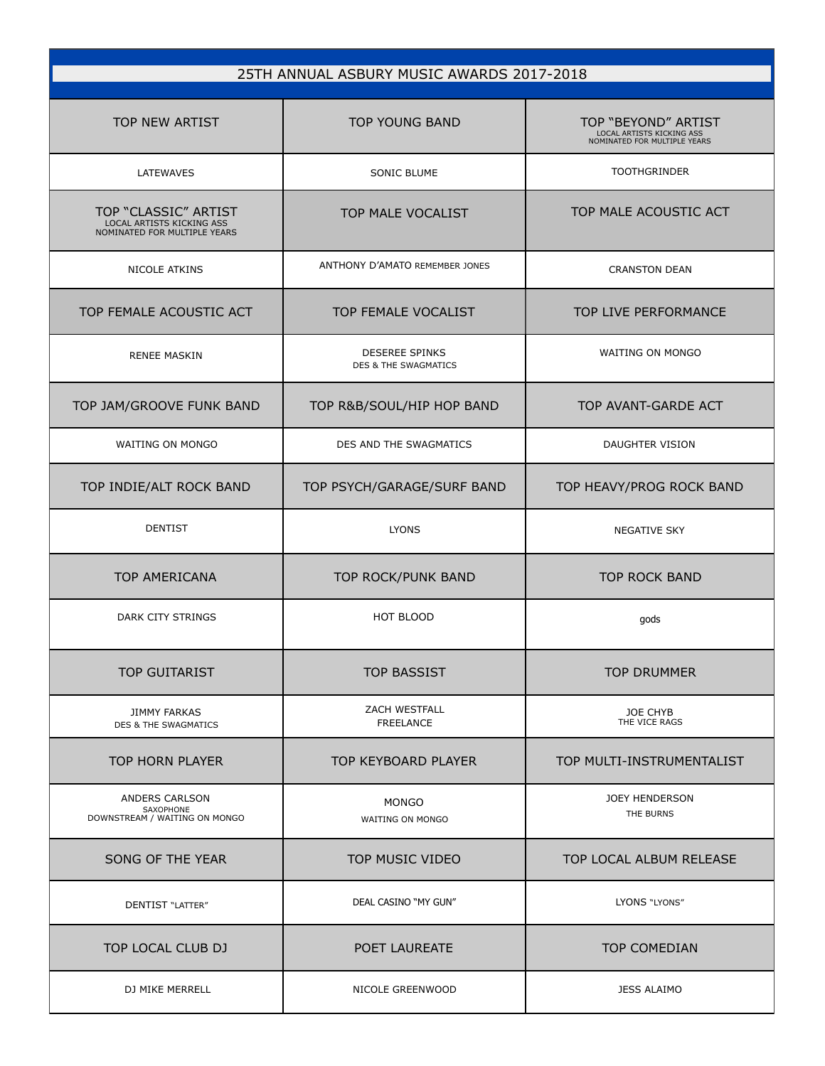| 25TH ANNUAL ASBURY MUSIC AWARDS 2017-2018                                         |                                                          |                                                                                  |  |
|-----------------------------------------------------------------------------------|----------------------------------------------------------|----------------------------------------------------------------------------------|--|
| <b>TOP NEW ARTIST</b>                                                             | <b>TOP YOUNG BAND</b>                                    | TOP "BEYOND" ARTIST<br>LOCAL ARTISTS KICKING ASS<br>NOMINATED FOR MULTIPLE YEARS |  |
| LATEWAVES                                                                         | SONIC BLUME                                              | <b>TOOTHGRINDER</b>                                                              |  |
| TOP "CLASSIC" ARTIST<br>LOCAL ARTISTS KICKING ASS<br>NOMINATED FOR MULTIPLE YEARS | TOP MALE VOCALIST                                        | TOP MALE ACOUSTIC ACT                                                            |  |
| <b>NICOLE ATKINS</b>                                                              | ANTHONY D'AMATO REMEMBER JONES                           | <b>CRANSTON DEAN</b>                                                             |  |
| TOP FEMALE ACOUSTIC ACT                                                           | TOP FEMALE VOCALIST                                      | TOP LIVE PERFORMANCE                                                             |  |
| <b>RENEE MASKIN</b>                                                               | <b>DESEREE SPINKS</b><br><b>DES &amp; THE SWAGMATICS</b> | <b>WAITING ON MONGO</b>                                                          |  |
| TOP JAM/GROOVE FUNK BAND                                                          | TOP R&B/SOUL/HIP HOP BAND                                | TOP AVANT-GARDE ACT                                                              |  |
| <b>WAITING ON MONGO</b>                                                           | DES AND THE SWAGMATICS                                   | DAUGHTER VISION                                                                  |  |
| TOP INDIE/ALT ROCK BAND                                                           | TOP PSYCH/GARAGE/SURF BAND                               | TOP HEAVY/PROG ROCK BAND                                                         |  |
| <b>DENTIST</b>                                                                    | <b>LYONS</b>                                             | NEGATIVE SKY                                                                     |  |
| <b>TOP AMERICANA</b>                                                              | TOP ROCK/PUNK BAND                                       | <b>TOP ROCK BAND</b>                                                             |  |
| DARK CITY STRINGS                                                                 | <b>HOT BLOOD</b>                                         | gods                                                                             |  |
| <b>TOP GUITARIST</b>                                                              | <b>TOP BASSIST</b>                                       | <b>TOP DRUMMER</b>                                                               |  |
| <b>JIMMY FARKAS</b><br>DES & THE SWAGMATICS                                       | ZACH WESTFALL<br><b>FREELANCE</b>                        | JOE CHYB<br>THE VICE RAGS                                                        |  |
| <b>TOP HORN PLAYER</b>                                                            | TOP KEYBOARD PLAYER                                      | TOP MULTI-INSTRUMENTALIST                                                        |  |
| ANDERS CARLSON<br>SAXOPHONE<br>DOWNSTREAM / WAITING ON MONGO                      | <b>MONGO</b><br>WAITING ON MONGO                         | <b>JOEY HENDERSON</b><br>THE BURNS                                               |  |
| SONG OF THE YEAR                                                                  | TOP MUSIC VIDEO                                          | TOP LOCAL ALBUM RELEASE                                                          |  |
| DENTIST "LATTER"                                                                  | DEAL CASINO "MY GUN"                                     | LYONS "LYONS"                                                                    |  |
| TOP LOCAL CLUB DJ                                                                 | POET LAUREATE                                            | TOP COMEDIAN                                                                     |  |
| DJ MIKE MERRELL                                                                   | NICOLE GREENWOOD                                         | <b>JESS ALAIMO</b>                                                               |  |